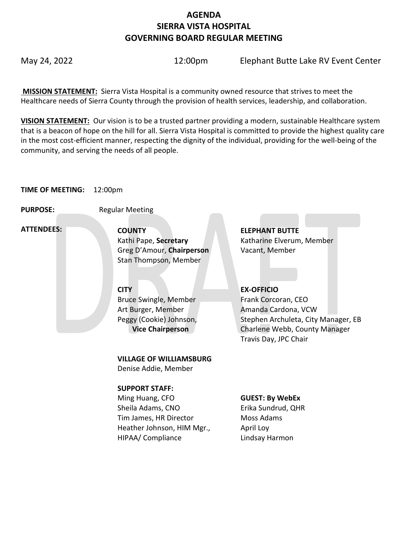# **AGENDA SIERRA VISTA HOSPITAL GOVERNING BOARD REGULAR MEETING**

May 24, 2022 **12:00pm** Elephant Butte Lake RV Event Center

**MISSION STATEMENT:** Sierra Vista Hospital is a community owned resource that strives to meet the Healthcare needs of Sierra County through the provision of health services, leadership, and collaboration.

**VISION STATEMENT:** Our vision is to be a trusted partner providing a modern, sustainable Healthcare system that is a beacon of hope on the hill for all. Sierra Vista Hospital is committed to provide the highest quality care in the most cost-efficient manner, respecting the dignity of the individual, providing for the well-being of the community, and serving the needs of all people.

#### **TIME OF MEETING:** 12:00pm

**PURPOSE:** Regular Meeting

 **ATTENDEES:**

**COUNTY ELEPHANT BUTTE**  Kathi Pape, **Secretary** Katharine Elverum, Member Greg D'Amour, **Chairperson** Vacant, Member Stan Thompson, Member

# **CITY EX-OFFICIO**

Bruce Swingle, Member Art Burger, Member Peggy (Cookie) Johnson,  **Vice Chairperson**

Frank Corcoran, CEO

Amanda Cardona, VCW Stephen Archuleta, City Manager, EB Charlene Webb, County Manager Travis Day, JPC Chair

# **VILLAGE OF WILLIAMSBURG**

Denise Addie, Member

## **SUPPORT STAFF:**

Ming Huang, CFO Sheila Adams, CNO Tim James, HR Director Heather Johnson, HIM Mgr., HIPAA/ Compliance

## **GUEST: By WebEx**

Erika Sundrud, QHR Moss Adams April Loy Lindsay Harmon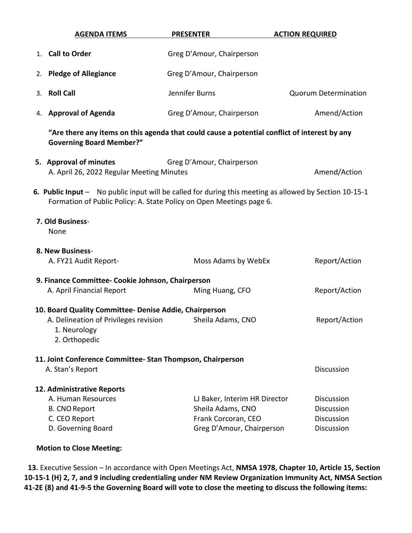| <b>AGENDA ITEMS</b>                                                                                                                                                            | <b>PRESENTER</b>                                                       | <b>ACTION REQUIRED</b>      |  |  |  |
|--------------------------------------------------------------------------------------------------------------------------------------------------------------------------------|------------------------------------------------------------------------|-----------------------------|--|--|--|
| 1. Call to Order                                                                                                                                                               | Greg D'Amour, Chairperson                                              |                             |  |  |  |
| 2. Pledge of Allegiance                                                                                                                                                        | Greg D'Amour, Chairperson                                              |                             |  |  |  |
| <b>Roll Call</b><br>3.                                                                                                                                                         | Jennifer Burns                                                         | <b>Quorum Determination</b> |  |  |  |
| 4. Approval of Agenda                                                                                                                                                          | Greg D'Amour, Chairperson                                              | Amend/Action                |  |  |  |
| "Are there any items on this agenda that could cause a potential conflict of interest by any<br><b>Governing Board Member?"</b>                                                |                                                                        |                             |  |  |  |
| 5. Approval of minutes                                                                                                                                                         | Greg D'Amour, Chairperson<br>A. April 26, 2022 Regular Meeting Minutes |                             |  |  |  |
| 6. Public Input - No public input will be called for during this meeting as allowed by Section 10-15-1<br>Formation of Public Policy: A. State Policy on Open Meetings page 6. |                                                                        |                             |  |  |  |
| 7. Old Business-<br>None                                                                                                                                                       |                                                                        |                             |  |  |  |
| 8. New Business-                                                                                                                                                               |                                                                        |                             |  |  |  |
| A. FY21 Audit Report-                                                                                                                                                          | Moss Adams by WebEx                                                    | Report/Action               |  |  |  |
| 9. Finance Committee- Cookie Johnson, Chairperson                                                                                                                              |                                                                        |                             |  |  |  |
| A. April Financial Report                                                                                                                                                      | Ming Huang, CFO                                                        | Report/Action               |  |  |  |
| 10. Board Quality Committee- Denise Addie, Chairperson                                                                                                                         |                                                                        |                             |  |  |  |
| A. Delineation of Privileges revision                                                                                                                                          | Sheila Adams, CNO                                                      | Report/Action               |  |  |  |
| 1. Neurology<br>2. Orthopedic                                                                                                                                                  |                                                                        |                             |  |  |  |
| 11. Joint Conference Committee-Stan Thompson, Chairperson                                                                                                                      |                                                                        |                             |  |  |  |
| A. Stan's Report                                                                                                                                                               |                                                                        | <b>Discussion</b>           |  |  |  |
| 12. Administrative Reports                                                                                                                                                     |                                                                        |                             |  |  |  |
| A. Human Resources                                                                                                                                                             | LJ Baker, Interim HR Director                                          | <b>Discussion</b>           |  |  |  |
| <b>B. CNO Report</b>                                                                                                                                                           | Sheila Adams, CNO                                                      | <b>Discussion</b>           |  |  |  |
| C. CEO Report                                                                                                                                                                  | Frank Corcoran, CEO                                                    | Discussion                  |  |  |  |
| D. Governing Board                                                                                                                                                             | Greg D'Amour, Chairperson                                              | Discussion                  |  |  |  |
|                                                                                                                                                                                |                                                                        |                             |  |  |  |

### **Motion to Close Meeting:**

 **13.** Executive Session – In accordance with Open Meetings Act, **NMSA 1978, Chapter 10, Article 15, Section 10-15-1 (H) 2, 7, and 9 including credentialing under NM Review Organization Immunity Act, NMSA Section 41-2E (8) and 41-9-5 the Governing Board will vote to close the meeting to discuss the following items:**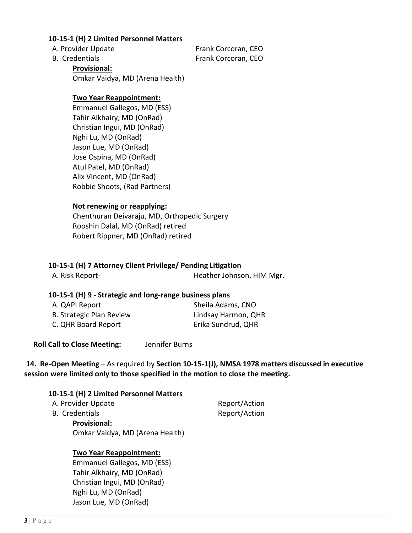#### **10-15-1 (H) 2 Limited Personnel Matters**

A. Provider Update **A. Provider Update Frank Corcoran**, CEO B. Credentials Frank Corcoran, CEO

**Provisional:** Omkar Vaidya, MD (Arena Health)

### **Two Year Reappointment:**

Emmanuel Gallegos, MD (ESS) Tahir Alkhairy, MD (OnRad) Christian Ingui, MD (OnRad) Nghi Lu, MD (OnRad) Jason Lue, MD (OnRad) Jose Ospina, MD (OnRad) Atul Patel, MD (OnRad) Alix Vincent, MD (OnRad) Robbie Shoots, (Rad Partners)

#### **Not renewing or reapplying:**

Chenthuran Deivaraju, MD, Orthopedic Surgery Rooshin Dalal, MD (OnRad) retired Robert Rippner, MD (OnRad) retired

### **10-15-1 (H) 7 Attorney Client Privilege/ Pending Litigation**

| A. Risk Report- |  | Heather Johnson, HIM Mgr. |  |
|-----------------|--|---------------------------|--|

#### **10-15-1 (H) 9 - Strategic and long-range business plans**

| A. QAPI Report           | Sheila Adams, CNO   |
|--------------------------|---------------------|
| B. Strategic Plan Review | Lindsay Harmon, QHR |
| C. QHR Board Report      | Erika Sundrud, QHR  |

 **Roll Call to Close Meeting:** Jennifer Burns

# **14. Re-Open Meeting** – As required by **Section 10-15-1(J), NMSA 1978 matters discussed in executive session were limited only to those specified in the motion to close the meeting.**

#### **10-15-1 (H) 2 Limited Personnel Matters**

| A. Provider Update | Report/Action |
|--------------------|---------------|
| B. Credentials     | Report/Action |
| .                  |               |

**Provisional:** Omkar Vaidya, MD (Arena Health)

#### **Two Year Reappointment:**

Emmanuel Gallegos, MD (ESS) Tahir Alkhairy, MD (OnRad) Christian Ingui, MD (OnRad) Nghi Lu, MD (OnRad) Jason Lue, MD (OnRad)